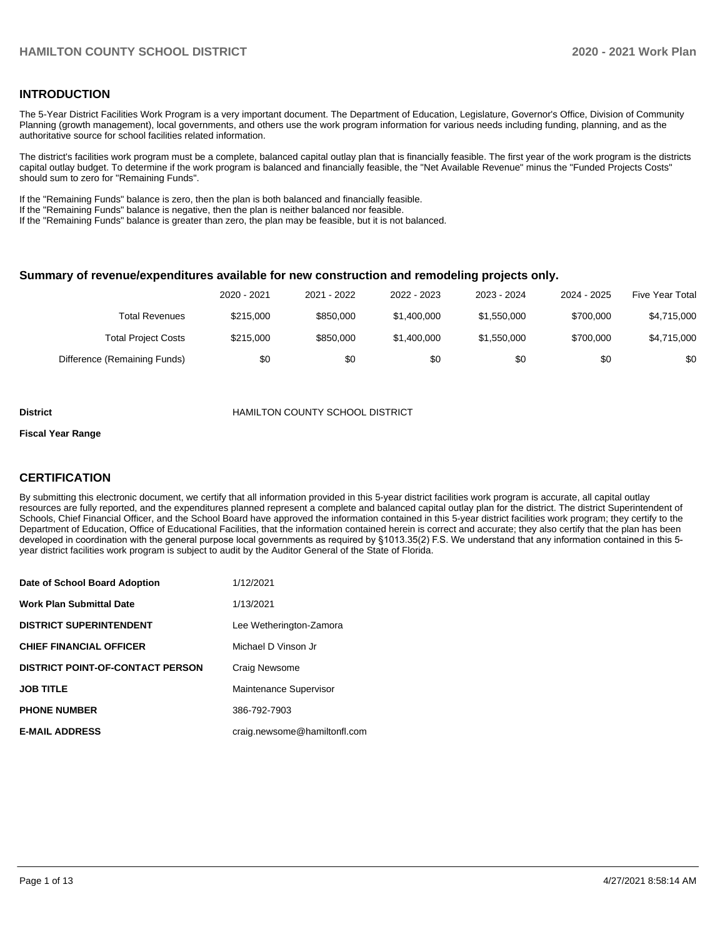### **INTRODUCTION**

The 5-Year District Facilities Work Program is a very important document. The Department of Education, Legislature, Governor's Office, Division of Community Planning (growth management), local governments, and others use the work program information for various needs including funding, planning, and as the authoritative source for school facilities related information.

The district's facilities work program must be a complete, balanced capital outlay plan that is financially feasible. The first year of the work program is the districts capital outlay budget. To determine if the work program is balanced and financially feasible, the "Net Available Revenue" minus the "Funded Projects Costs" should sum to zero for "Remaining Funds".

If the "Remaining Funds" balance is zero, then the plan is both balanced and financially feasible.

If the "Remaining Funds" balance is negative, then the plan is neither balanced nor feasible.

If the "Remaining Funds" balance is greater than zero, the plan may be feasible, but it is not balanced.

#### **Summary of revenue/expenditures available for new construction and remodeling projects only.**

|                              | 2020 - 2021 | 2021 - 2022 | 2022 - 2023 | 2023 - 2024 | 2024 - 2025 | <b>Five Year Total</b> |
|------------------------------|-------------|-------------|-------------|-------------|-------------|------------------------|
| Total Revenues               | \$215,000   | \$850,000   | \$1,400,000 | \$1,550,000 | \$700,000   | \$4,715,000            |
| <b>Total Project Costs</b>   | \$215,000   | \$850,000   | \$1,400,000 | \$1,550,000 | \$700,000   | \$4,715,000            |
| Difference (Remaining Funds) | \$0         | \$0         | \$0         | \$0         | \$0         | \$0                    |

#### **District COUNTY SCHOOL DISTRICT**

#### **Fiscal Year Range**

## **CERTIFICATION**

By submitting this electronic document, we certify that all information provided in this 5-year district facilities work program is accurate, all capital outlay resources are fully reported, and the expenditures planned represent a complete and balanced capital outlay plan for the district. The district Superintendent of Schools, Chief Financial Officer, and the School Board have approved the information contained in this 5-year district facilities work program; they certify to the Department of Education, Office of Educational Facilities, that the information contained herein is correct and accurate; they also certify that the plan has been developed in coordination with the general purpose local governments as required by §1013.35(2) F.S. We understand that any information contained in this 5 year district facilities work program is subject to audit by the Auditor General of the State of Florida.

| Date of School Board Adoption           | 1/12/2021                    |
|-----------------------------------------|------------------------------|
| Work Plan Submittal Date                | 1/13/2021                    |
| <b>DISTRICT SUPERINTENDENT</b>          | Lee Wetherington-Zamora      |
| <b>CHIEF FINANCIAL OFFICER</b>          | Michael D Vinson Jr          |
| <b>DISTRICT POINT-OF-CONTACT PERSON</b> | Craig Newsome                |
| <b>JOB TITLE</b>                        | Maintenance Supervisor       |
| <b>PHONE NUMBER</b>                     | 386-792-7903                 |
| <b>E-MAIL ADDRESS</b>                   | craig.newsome@hamiltonfl.com |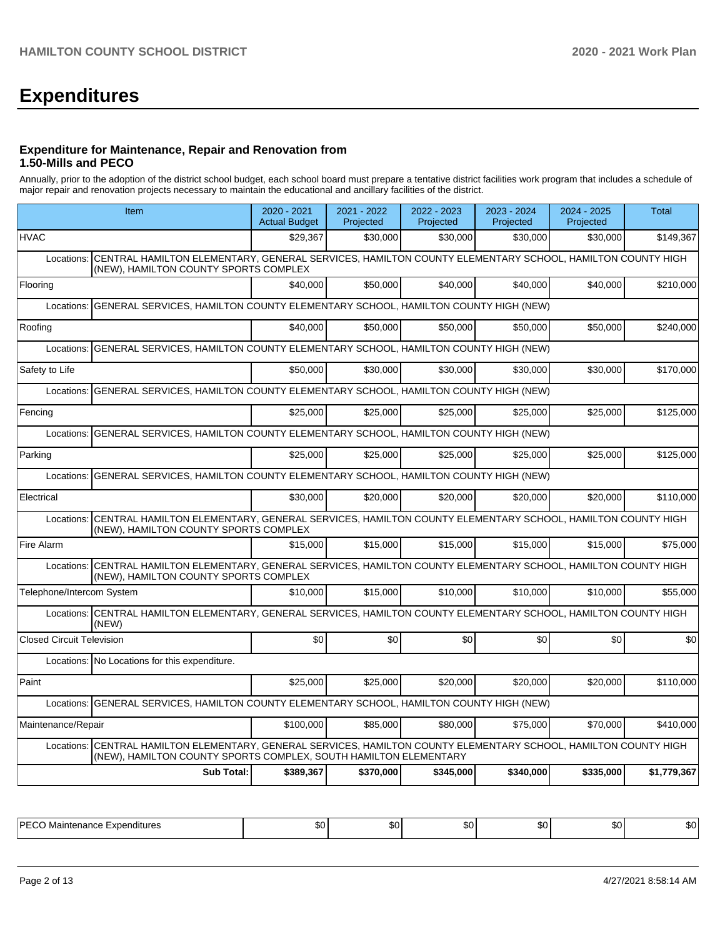# **Expenditures**

### **Expenditure for Maintenance, Repair and Renovation from 1.50-Mills and PECO**

Annually, prior to the adoption of the district school budget, each school board must prepare a tentative district facilities work program that includes a schedule of major repair and renovation projects necessary to maintain the educational and ancillary facilities of the district.

| Item                                                                                                                                                                                  | $2020 - 2021$<br><b>Actual Budget</b>                                           | 2021 - 2022<br>Projected | 2022 - 2023<br>Projected | 2023 - 2024<br>Projected | 2024 - 2025<br>Projected | <b>Total</b> |  |  |  |  |
|---------------------------------------------------------------------------------------------------------------------------------------------------------------------------------------|---------------------------------------------------------------------------------|--------------------------|--------------------------|--------------------------|--------------------------|--------------|--|--|--|--|
| <b>HVAC</b>                                                                                                                                                                           | \$29,367                                                                        | \$30,000                 | \$30,000                 | \$30,000                 | \$30,000                 | \$149,367    |  |  |  |  |
| CENTRAL HAMILTON ELEMENTARY, GENERAL SERVICES, HAMILTON COUNTY ELEMENTARY SCHOOL, HAMILTON COUNTY HIGH<br>Locations:<br>(NEW), HAMILTON COUNTY SPORTS COMPLEX                         |                                                                                 |                          |                          |                          |                          |              |  |  |  |  |
| Flooring                                                                                                                                                                              | \$40,000                                                                        | \$50,000                 | \$40,000                 | \$40,000                 | \$40,000                 | \$210,000    |  |  |  |  |
| Locations:                                                                                                                                                                            | GENERAL SERVICES, HAMILTON COUNTY ELEMENTARY SCHOOL, HAMILTON COUNTY HIGH (NEW) |                          |                          |                          |                          |              |  |  |  |  |
| Roofing                                                                                                                                                                               | \$40,000                                                                        | \$50,000                 | \$50,000                 | \$50,000                 | \$50,000                 | \$240,000    |  |  |  |  |
| GENERAL SERVICES, HAMILTON COUNTY ELEMENTARY SCHOOL, HAMILTON COUNTY HIGH (NEW)<br>Locations:                                                                                         |                                                                                 |                          |                          |                          |                          |              |  |  |  |  |
| Safety to Life                                                                                                                                                                        | \$50,000                                                                        | \$30,000                 | \$30,000                 | \$30,000                 | \$30,000                 | \$170,000    |  |  |  |  |
| Locations: GENERAL SERVICES, HAMILTON COUNTY ELEMENTARY SCHOOL, HAMILTON COUNTY HIGH (NEW)                                                                                            |                                                                                 |                          |                          |                          |                          |              |  |  |  |  |
| Fencing                                                                                                                                                                               | \$25,000                                                                        | \$25,000                 | \$25,000                 | \$25,000                 | \$25,000                 | \$125,000    |  |  |  |  |
| GENERAL SERVICES, HAMILTON COUNTY ELEMENTARY SCHOOL, HAMILTON COUNTY HIGH (NEW)<br>Locations:                                                                                         |                                                                                 |                          |                          |                          |                          |              |  |  |  |  |
| Parking                                                                                                                                                                               | \$25,000                                                                        | \$25,000                 | \$25,000                 | \$25,000                 | \$25,000                 | \$125,000    |  |  |  |  |
| Locations:                                                                                                                                                                            | GENERAL SERVICES, HAMILTON COUNTY ELEMENTARY SCHOOL, HAMILTON COUNTY HIGH (NEW) |                          |                          |                          |                          |              |  |  |  |  |
| Electrical                                                                                                                                                                            | \$30,000                                                                        | \$20,000                 | \$20,000                 | \$20,000                 | \$20,000                 | \$110,000    |  |  |  |  |
| CENTRAL HAMILTON ELEMENTARY, GENERAL SERVICES, HAMILTON COUNTY ELEMENTARY SCHOOL, HAMILTON COUNTY HIGH<br>Locations:<br>(NEW), HAMILTON COUNTY SPORTS COMPLEX                         |                                                                                 |                          |                          |                          |                          |              |  |  |  |  |
| Fire Alarm                                                                                                                                                                            | \$15,000                                                                        | \$15,000                 | \$15,000                 | \$15,000                 | \$15,000                 | \$75,000     |  |  |  |  |
| CENTRAL HAMILTON ELEMENTARY, GENERAL SERVICES, HAMILTON COUNTY ELEMENTARY SCHOOL, HAMILTON COUNTY HIGH<br>Locations:<br>(NEW), HAMILTON COUNTY SPORTS COMPLEX                         |                                                                                 |                          |                          |                          |                          |              |  |  |  |  |
| Telephone/Intercom System                                                                                                                                                             | \$10,000                                                                        | \$15,000                 | \$10,000                 | \$10,000                 | \$10,000                 | \$55,000     |  |  |  |  |
| CENTRAL HAMILTON ELEMENTARY, GENERAL SERVICES, HAMILTON COUNTY ELEMENTARY SCHOOL, HAMILTON COUNTY HIGH<br>Locations:<br>(NEW)                                                         |                                                                                 |                          |                          |                          |                          |              |  |  |  |  |
| <b>Closed Circuit Television</b>                                                                                                                                                      | \$0                                                                             | \$0                      | \$0                      | \$0                      | \$0                      | \$0          |  |  |  |  |
| Locations: No Locations for this expenditure.                                                                                                                                         |                                                                                 |                          |                          |                          |                          |              |  |  |  |  |
| Paint                                                                                                                                                                                 | \$25,000                                                                        | \$25,000                 | \$20,000                 | \$20,000                 | \$20,000                 | \$110,000    |  |  |  |  |
| GENERAL SERVICES, HAMILTON COUNTY ELEMENTARY SCHOOL, HAMILTON COUNTY HIGH (NEW)<br>Locations:                                                                                         |                                                                                 |                          |                          |                          |                          |              |  |  |  |  |
| Maintenance/Repair                                                                                                                                                                    | \$100,000                                                                       | \$85,000                 | \$80,000                 | \$75,000                 | \$70,000                 | \$410,000    |  |  |  |  |
| Locations: CENTRAL HAMILTON ELEMENTARY, GENERAL SERVICES, HAMILTON COUNTY ELEMENTARY SCHOOL, HAMILTON COUNTY HIGH<br>(NEW), HAMILTON COUNTY SPORTS COMPLEX, SOUTH HAMILTON ELEMENTARY |                                                                                 |                          |                          |                          |                          |              |  |  |  |  |
| <b>Sub Total:</b>                                                                                                                                                                     | \$389,367                                                                       | \$370,000                | \$345,000                | \$340,000                | \$335,000                | \$1,779,367  |  |  |  |  |

| וס ו<br>~~ |  | m -<br>. | ות. |  |
|------------|--|----------|-----|--|
|            |  |          |     |  |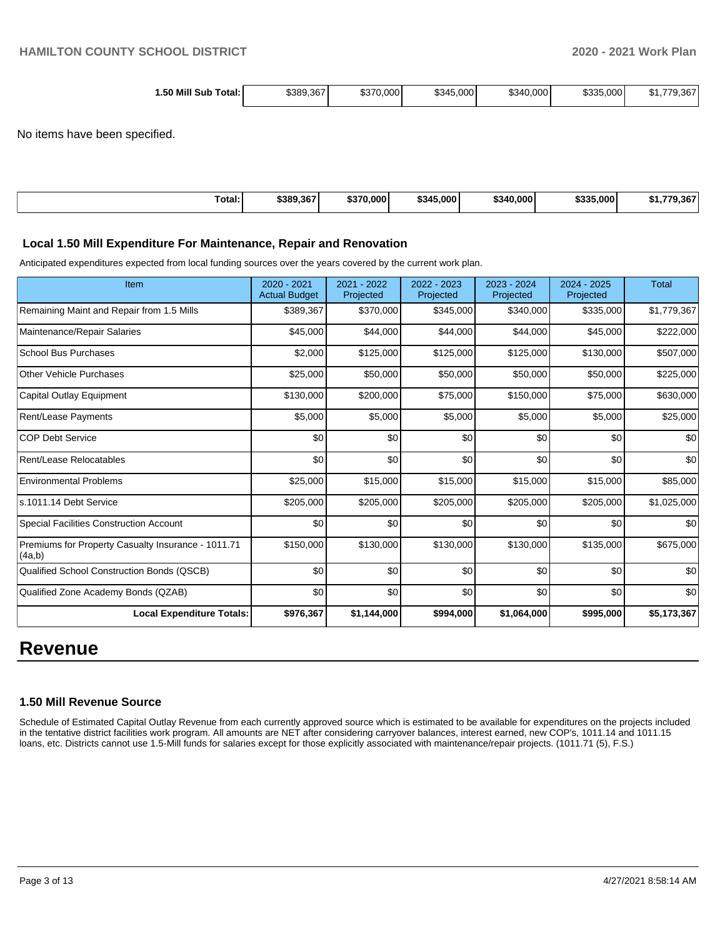| 1.50 Mill Sub<br>Total: I | \$389,367 | \$370,000 | \$345,000 | \$340,000 | \$335,000 | .9.367<br>، ۱۰۵۰ |
|---------------------------|-----------|-----------|-----------|-----------|-----------|------------------|
|---------------------------|-----------|-----------|-----------|-----------|-----------|------------------|

No items have been specified.

| Total:<br>. | \$389,367 | \$370.000 | \$345,000 | \$340.000 | \$335,000 | $\sim$<br>. п. |
|-------------|-----------|-----------|-----------|-----------|-----------|----------------|
|             |           |           |           |           |           |                |

#### **Local 1.50 Mill Expenditure For Maintenance, Repair and Renovation**

Anticipated expenditures expected from local funding sources over the years covered by the current work plan.

| Item                                                         | $2020 - 2021$<br><b>Actual Budget</b> | 2021 - 2022<br>Projected | 2022 - 2023<br>Projected | $2023 - 2024$<br>Projected | 2024 - 2025<br>Projected | <b>Total</b> |
|--------------------------------------------------------------|---------------------------------------|--------------------------|--------------------------|----------------------------|--------------------------|--------------|
| Remaining Maint and Repair from 1.5 Mills                    | \$389,367                             | \$370,000                | \$345,000                | \$340,000                  | \$335,000                | \$1,779,367  |
| Maintenance/Repair Salaries                                  | \$45,000                              | \$44,000                 | \$44,000                 | \$44,000                   | \$45,000                 | \$222,000    |
| <b>School Bus Purchases</b>                                  | \$2,000                               | \$125,000                | \$125,000                | \$125,000                  | \$130,000                | \$507,000    |
| <b>Other Vehicle Purchases</b>                               | \$25,000                              | \$50,000                 | \$50,000                 | \$50,000                   | \$50,000                 | \$225,000    |
| Capital Outlay Equipment                                     | \$130,000                             | \$200,000                | \$75,000                 | \$150,000                  | \$75,000                 | \$630,000    |
| <b>Rent/Lease Payments</b>                                   | \$5,000                               | \$5,000                  | \$5,000                  | \$5,000                    | \$5,000                  | \$25,000     |
| <b>COP Debt Service</b>                                      | \$0                                   | \$0                      | \$0                      | \$0                        | \$0                      | \$0          |
| Rent/Lease Relocatables                                      | \$0                                   | \$0                      | \$0                      | \$0                        | \$0                      | \$0          |
| <b>Environmental Problems</b>                                | \$25,000                              | \$15,000                 | \$15,000                 | \$15,000                   | \$15,000                 | \$85,000     |
| s.1011.14 Debt Service                                       | \$205,000                             | \$205,000                | \$205,000                | \$205,000                  | \$205,000                | \$1,025,000  |
| <b>Special Facilities Construction Account</b>               | \$0                                   | \$0                      | \$0                      | \$0                        | \$0                      | \$0          |
| Premiums for Property Casualty Insurance - 1011.71<br>(4a,b) | \$150,000                             | \$130,000                | \$130,000                | \$130,000                  | \$135,000                | \$675,000    |
| Qualified School Construction Bonds (QSCB)                   | \$0                                   | \$0                      | \$0                      | \$0                        | \$0                      | \$0          |
| Qualified Zone Academy Bonds (QZAB)                          | \$0                                   | \$0                      | \$0                      | \$0                        | \$0                      | \$0          |
| <b>Local Expenditure Totals:</b>                             | \$976,367                             | \$1,144,000              | \$994,000                | \$1,064,000                | \$995,000                | \$5,173,367  |

# **Revenue**

#### **1.50 Mill Revenue Source**

Schedule of Estimated Capital Outlay Revenue from each currently approved source which is estimated to be available for expenditures on the projects included in the tentative district facilities work program. All amounts are NET after considering carryover balances, interest earned, new COP's, 1011.14 and 1011.15 loans, etc. Districts cannot use 1.5-Mill funds for salaries except for those explicitly associated with maintenance/repair projects. (1011.71 (5), F.S.)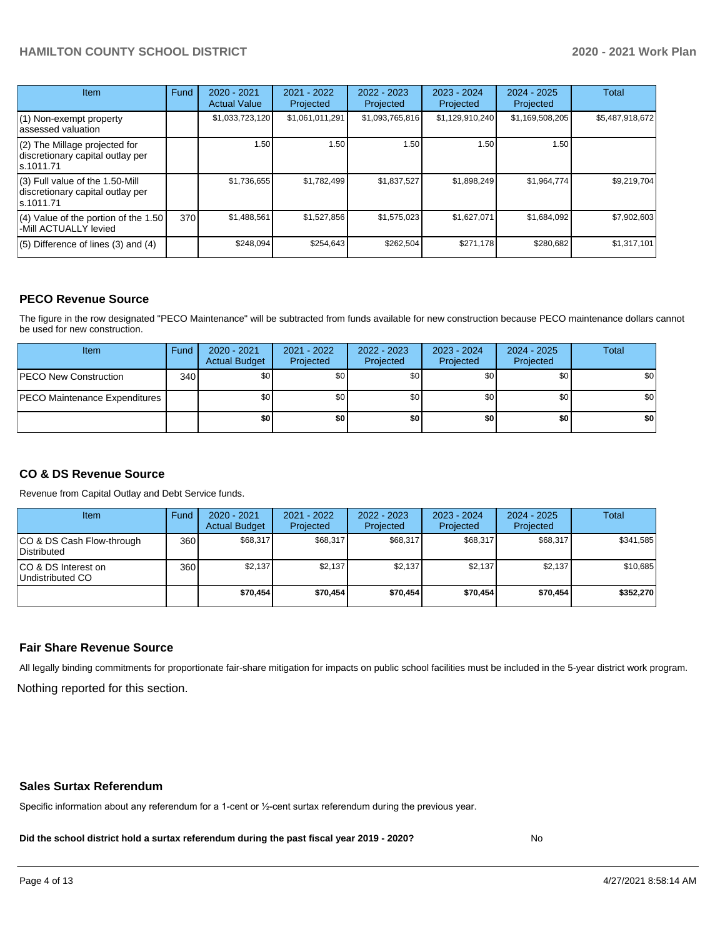| <b>Item</b>                                                                       | Fund | $2020 - 2021$<br><b>Actual Value</b> | $2021 - 2022$<br>Projected | $2022 - 2023$<br>Projected | $2023 - 2024$<br>Projected | $2024 - 2025$<br>Projected | Total           |
|-----------------------------------------------------------------------------------|------|--------------------------------------|----------------------------|----------------------------|----------------------------|----------------------------|-----------------|
| (1) Non-exempt property<br>lassessed valuation                                    |      | \$1,033,723,120                      | \$1,061,011,291            | \$1,093,765,816            | \$1,129,910,240            | \$1,169,508,205            | \$5,487,918,672 |
| $(2)$ The Millage projected for<br>discretionary capital outlay per<br>ls.1011.71 |      | 1.50                                 | 1.50                       | 1.50                       | 1.50                       | 1.50                       |                 |
| (3) Full value of the 1.50-Mill<br>discretionary capital outlay per<br>ls.1011.71 |      | \$1,736,655                          | \$1,782,499                | \$1,837,527                | \$1,898,249                | \$1,964,774                | \$9,219,704     |
| $(4)$ Value of the portion of the 1.50<br>-Mill ACTUALLY levied                   | 370I | \$1,488,561                          | \$1,527,856                | \$1,575,023                | \$1,627,071                | \$1,684,092                | \$7,902,603     |
| $(5)$ Difference of lines $(3)$ and $(4)$                                         |      | \$248.094                            | \$254.643                  | \$262.504                  | \$271,178                  | \$280,682                  | \$1,317,101     |

#### **PECO Revenue Source**

The figure in the row designated "PECO Maintenance" will be subtracted from funds available for new construction because PECO maintenance dollars cannot be used for new construction.

| Item                                 | Fund | $2020 - 2021$<br><b>Actual Budget</b> | 2021 - 2022<br>Projected | 2022 - 2023<br>Projected | 2023 - 2024<br>Projected | 2024 - 2025<br>Projected | Total            |
|--------------------------------------|------|---------------------------------------|--------------------------|--------------------------|--------------------------|--------------------------|------------------|
| <b>PECO New Construction</b>         | 340  | \$0                                   | \$0 <sub>1</sub>         | \$0                      | \$0 <sub>0</sub>         | \$0 <sub>1</sub>         | \$0 <sub>1</sub> |
| <b>PECO Maintenance Expenditures</b> |      | ا 30                                  | \$٥Ι                     | \$0                      | \$0 <sub>1</sub>         | \$0                      | \$0              |
|                                      |      | \$0                                   | \$0                      | \$0                      | \$0                      | \$0                      | \$0              |

## **CO & DS Revenue Source**

Revenue from Capital Outlay and Debt Service funds.

| <b>Item</b>                               | Fund | $2020 - 2021$<br><b>Actual Budget</b> | 2021 - 2022<br>Projected | 2022 - 2023<br>Projected | $2023 - 2024$<br>Projected | $2024 - 2025$<br>Projected | Total     |
|-------------------------------------------|------|---------------------------------------|--------------------------|--------------------------|----------------------------|----------------------------|-----------|
| ICO & DS Cash Flow-through<br>Distributed | 360  | \$68,317                              | \$68.317                 | \$68.317                 | \$68,317                   | \$68,317                   | \$341,585 |
| ICO & DS Interest on<br>Undistributed CO  | 360  | \$2.137                               | \$2,137                  | \$2,137                  | \$2.137                    | \$2.137                    | \$10,685  |
|                                           |      | \$70,454                              | \$70,454                 | \$70.454                 | \$70.454                   | \$70,454                   | \$352,270 |

#### **Fair Share Revenue Source**

Nothing reported for this section. All legally binding commitments for proportionate fair-share mitigation for impacts on public school facilities must be included in the 5-year district work program.

#### **Sales Surtax Referendum**

Specific information about any referendum for a 1-cent or ½-cent surtax referendum during the previous year.

**Did the school district hold a surtax referendum during the past fiscal year 2019 - 2020?**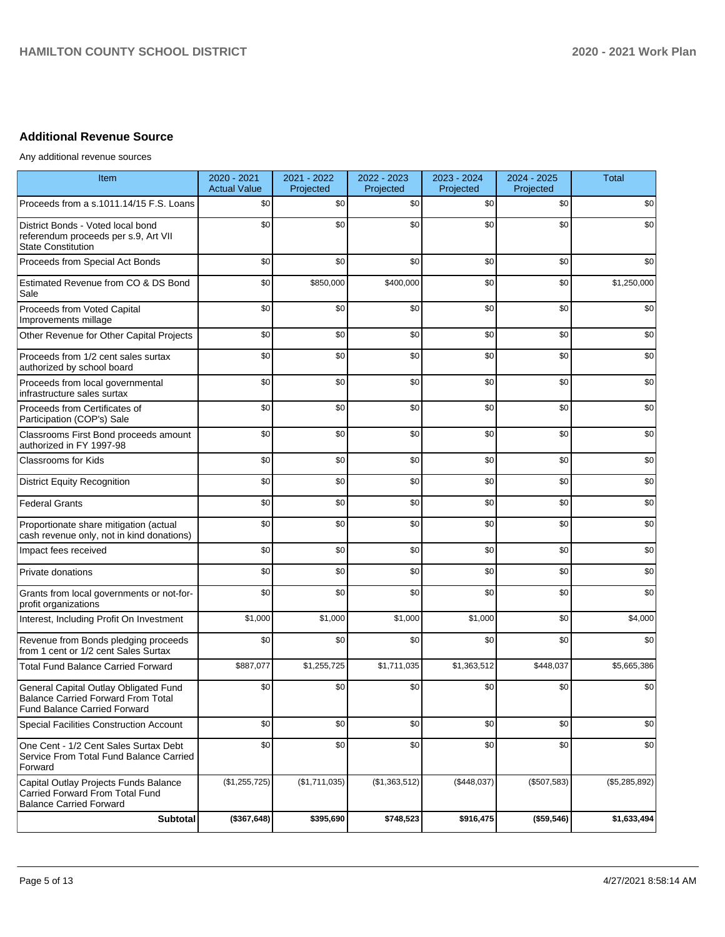# **Additional Revenue Source**

Any additional revenue sources

| Item                                                                                                                      | 2020 - 2021<br><b>Actual Value</b> | 2021 - 2022<br>Projected | 2022 - 2023<br>Projected | 2023 - 2024<br>Projected | 2024 - 2025<br>Projected | <b>Total</b>  |
|---------------------------------------------------------------------------------------------------------------------------|------------------------------------|--------------------------|--------------------------|--------------------------|--------------------------|---------------|
| Proceeds from a s.1011.14/15 F.S. Loans                                                                                   | \$0                                | \$0                      | \$0                      | \$0                      | \$0                      | \$0           |
| District Bonds - Voted local bond<br>referendum proceeds per s.9, Art VII<br><b>State Constitution</b>                    | \$0                                | \$0                      | \$0                      | \$0                      | \$0                      | \$0           |
| Proceeds from Special Act Bonds                                                                                           | \$0                                | \$0                      | \$0                      | \$0                      | \$0                      | \$0           |
| Estimated Revenue from CO & DS Bond<br>Sale                                                                               | \$0                                | \$850,000                | \$400,000                | \$0                      | \$0                      | \$1,250,000   |
| Proceeds from Voted Capital<br>Improvements millage                                                                       | \$0                                | \$0                      | \$0                      | \$0                      | \$0                      | \$0           |
| Other Revenue for Other Capital Projects                                                                                  | \$0                                | \$0                      | \$0                      | \$0                      | \$0                      | \$0           |
| Proceeds from 1/2 cent sales surtax<br>authorized by school board                                                         | \$0                                | \$0                      | \$0                      | \$0                      | \$0                      | \$0           |
| Proceeds from local governmental<br>infrastructure sales surtax                                                           | \$0                                | \$0                      | \$0                      | \$0                      | \$0                      | \$0           |
| Proceeds from Certificates of<br>Participation (COP's) Sale                                                               | \$0                                | \$0                      | \$0                      | \$0                      | \$0                      | \$0           |
| Classrooms First Bond proceeds amount<br>authorized in FY 1997-98                                                         | \$0                                | \$0                      | \$0                      | \$0                      | \$0                      | \$0           |
| <b>Classrooms for Kids</b>                                                                                                | \$0                                | \$0                      | \$0                      | \$0                      | \$0                      | \$0           |
| <b>District Equity Recognition</b>                                                                                        | \$0                                | \$0                      | \$0                      | \$0                      | \$0                      | \$0           |
| <b>Federal Grants</b>                                                                                                     | \$0                                | \$0                      | \$0                      | \$0                      | \$0                      | \$0           |
| Proportionate share mitigation (actual<br>cash revenue only, not in kind donations)                                       | \$0                                | \$0                      | \$0                      | \$0                      | \$0                      | \$0           |
| Impact fees received                                                                                                      | \$0                                | \$0                      | \$0                      | \$0                      | \$0                      | \$0           |
| Private donations                                                                                                         | \$0                                | \$0                      | \$0                      | \$0                      | \$0                      | \$0           |
| Grants from local governments or not-for-<br>profit organizations                                                         | \$0                                | \$0                      | \$0                      | \$0                      | \$0                      | \$0           |
| Interest, Including Profit On Investment                                                                                  | \$1,000                            | \$1,000                  | \$1,000                  | \$1,000                  | \$0                      | \$4,000       |
| Revenue from Bonds pledging proceeds<br>from 1 cent or 1/2 cent Sales Surtax                                              | \$0                                | \$0                      | \$0                      | \$0                      | \$0                      | \$0           |
| <b>Total Fund Balance Carried Forward</b>                                                                                 | \$887,077                          | \$1,255,725              | \$1,711,035              | \$1,363,512              | \$448,037                | \$5,665,386   |
| General Capital Outlay Obligated Fund<br><b>Balance Carried Forward From Total</b><br><b>Fund Balance Carried Forward</b> | \$0                                | \$0                      | \$0                      | \$0                      | \$0                      | \$0           |
| <b>Special Facilities Construction Account</b>                                                                            | \$0                                | \$0                      | \$0                      | \$0                      | \$0                      | \$0           |
| One Cent - 1/2 Cent Sales Surtax Debt<br>Service From Total Fund Balance Carried<br>Forward                               | \$0                                | \$0                      | \$0                      | \$0                      | \$0                      | \$0           |
| Capital Outlay Projects Funds Balance<br>Carried Forward From Total Fund<br><b>Balance Carried Forward</b>                | (\$1,255,725)                      | (\$1,711,035)            | (\$1,363,512)            | (\$448,037)              | (\$507,583)              | (\$5,285,892) |
| Subtotal                                                                                                                  | (\$367,648)                        | \$395,690                | \$748,523                | \$916,475                | (\$59,546)               | \$1,633,494   |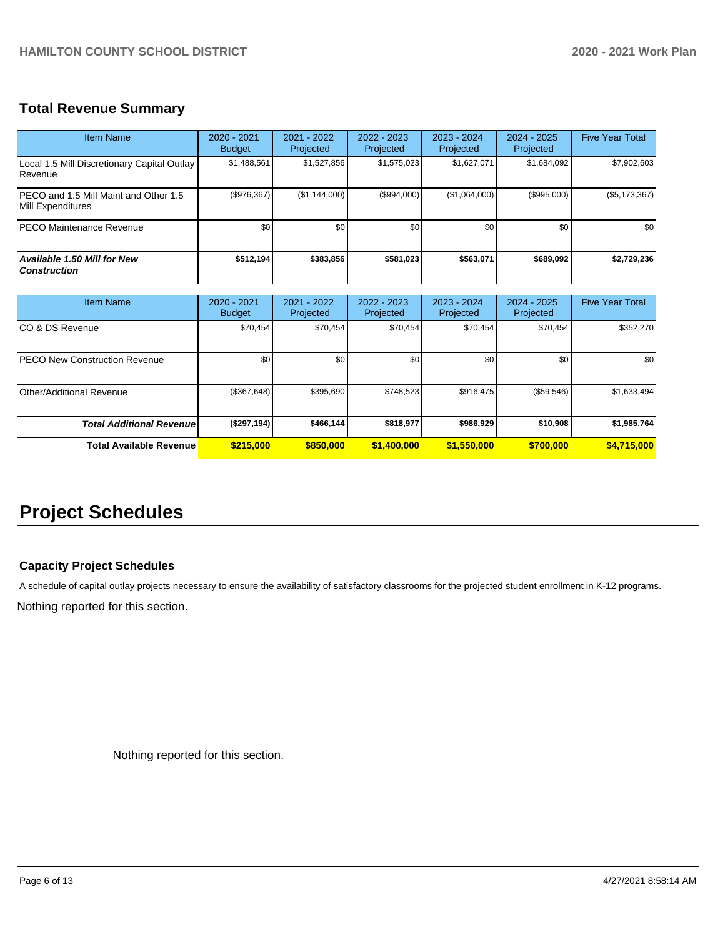# **Total Revenue Summary**

| Item Name                                                   | $2020 - 2021$<br><b>Budget</b> | 2021 - 2022<br>Projected | $2022 - 2023$<br>Projected | $2023 - 2024$<br>Projected | $2024 - 2025$<br>Projected | <b>Five Year Total</b> |
|-------------------------------------------------------------|--------------------------------|--------------------------|----------------------------|----------------------------|----------------------------|------------------------|
| Local 1.5 Mill Discretionary Capital Outlay<br>l Revenue    | \$1,488,561                    | \$1,527,856              | \$1,575,023                | \$1,627,071                | \$1,684,092                | \$7,902,603            |
| IPECO and 1.5 Mill Maint and Other 1.5<br>Mill Expenditures | (\$976,367)                    | (\$1,144,000)            | (S994.000)                 | (\$1,064,000)              | (\$995,000)                | (\$5,173,367)          |
| <b>IPECO Maintenance Revenue</b>                            | \$0                            | \$0 <sub>1</sub>         | \$0                        | \$0                        | \$0                        | \$0                    |
| <b>Available 1.50 Mill for New</b><br><b>Construction</b>   | \$512,194                      | \$383.856                | \$581.023                  | \$563.071                  | \$689.092                  | \$2,729,236            |

| <b>Item Name</b>                     | 2020 - 2021<br><b>Budget</b> | $2021 - 2022$<br>Projected | 2022 - 2023<br>Projected | $2023 - 2024$<br>Projected | $2024 - 2025$<br>Projected | <b>Five Year Total</b> |
|--------------------------------------|------------------------------|----------------------------|--------------------------|----------------------------|----------------------------|------------------------|
| ICO & DS Revenue                     | \$70,454                     | \$70.454                   | \$70,454                 | \$70,454                   | \$70,454                   | \$352,270              |
| <b>PECO New Construction Revenue</b> | \$0                          | \$0 <sub>1</sub>           | \$0                      | \$0                        | \$0                        | \$0                    |
| Other/Additional Revenue             | (\$367,648)                  | \$395,690                  | \$748,523                | \$916,475                  | (\$59,546)                 | \$1,633,494            |
| <b>Total Additional Revenuel</b>     | (\$297,194)                  | \$466.144                  | \$818,977                | \$986,929                  | \$10,908                   | \$1,985,764            |
| Total Available Revenue              | \$215,000                    | \$850,000                  | \$1,400,000              | \$1,550,000                | \$700,000                  | \$4,715,000            |

# **Project Schedules**

## **Capacity Project Schedules**

A schedule of capital outlay projects necessary to ensure the availability of satisfactory classrooms for the projected student enrollment in K-12 programs.

Nothing reported for this section.

Nothing reported for this section.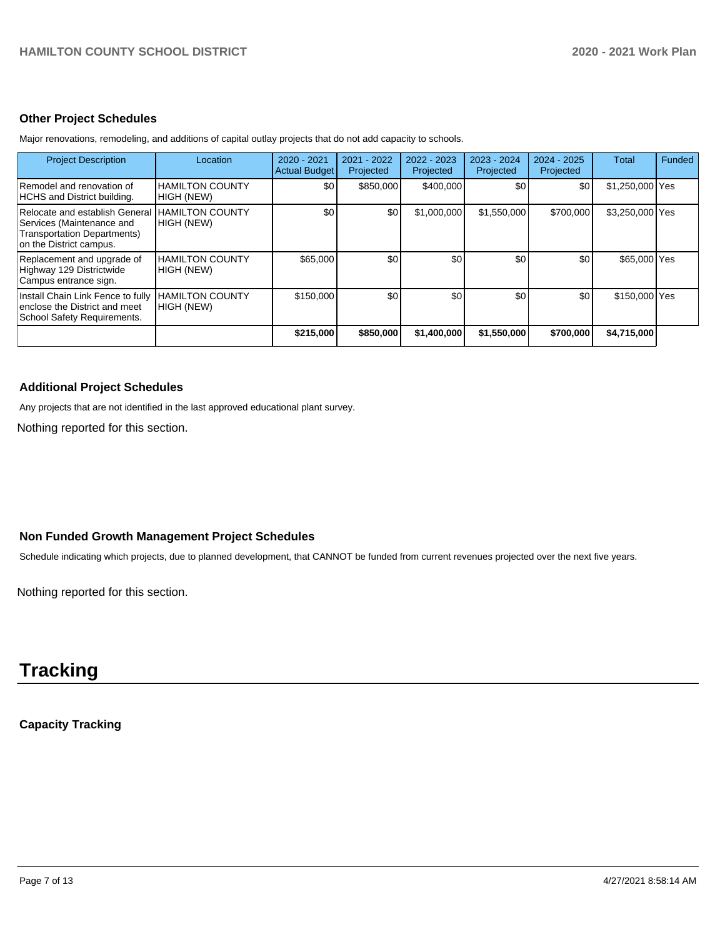#### **Other Project Schedules**

Major renovations, remodeling, and additions of capital outlay projects that do not add capacity to schools.

| <b>Project Description</b>                                                                                            | Location                             | 2020 - 2021<br><b>Actual Budget</b> | $2021 - 2022$<br>Projected | 2022 - 2023<br>Projected | 2023 - 2024<br>Projected | $2024 - 2025$<br>Projected | Total           | Funded |
|-----------------------------------------------------------------------------------------------------------------------|--------------------------------------|-------------------------------------|----------------------------|--------------------------|--------------------------|----------------------------|-----------------|--------|
| Remodel and renovation of<br>HCHS and District building.                                                              | HAMILTON COUNTY<br>HIGH (NEW)        | \$0                                 | \$850,000                  | \$400,000                | <b>\$01</b>              | \$0                        | \$1,250,000 Yes |        |
| Relocate and establish General<br>Services (Maintenance and<br>Transportation Departments)<br>on the District campus. | <b>HAMILTON COUNTY</b><br>HIGH (NEW) | \$0                                 | \$0                        | \$1,000,000              | \$1,550,000              | \$700,000                  | \$3,250,000 Yes |        |
| Replacement and upgrade of<br>Highway 129 Districtwide<br>Campus entrance sign.                                       | HAMILTON COUNTY<br>HIGH (NEW)        | \$65,000                            | \$0                        | \$0                      | \$0                      | \$0                        | \$65,000 Yes    |        |
| Install Chain Link Fence to fully<br>enclose the District and meet<br>School Safety Requirements.                     | <b>HAMILTON COUNTY</b><br>HIGH (NEW) | \$150,000                           | \$0                        | \$0                      | \$0                      | \$0                        | \$150,000 Yes   |        |
|                                                                                                                       |                                      | \$215,000                           | \$850,000                  | \$1,400,000              | \$1,550,000              | \$700,000                  | \$4,715,000     |        |

#### **Additional Project Schedules**

Any projects that are not identified in the last approved educational plant survey.

Nothing reported for this section.

#### **Non Funded Growth Management Project Schedules**

Schedule indicating which projects, due to planned development, that CANNOT be funded from current revenues projected over the next five years.

Nothing reported for this section.

# **Tracking**

**Capacity Tracking**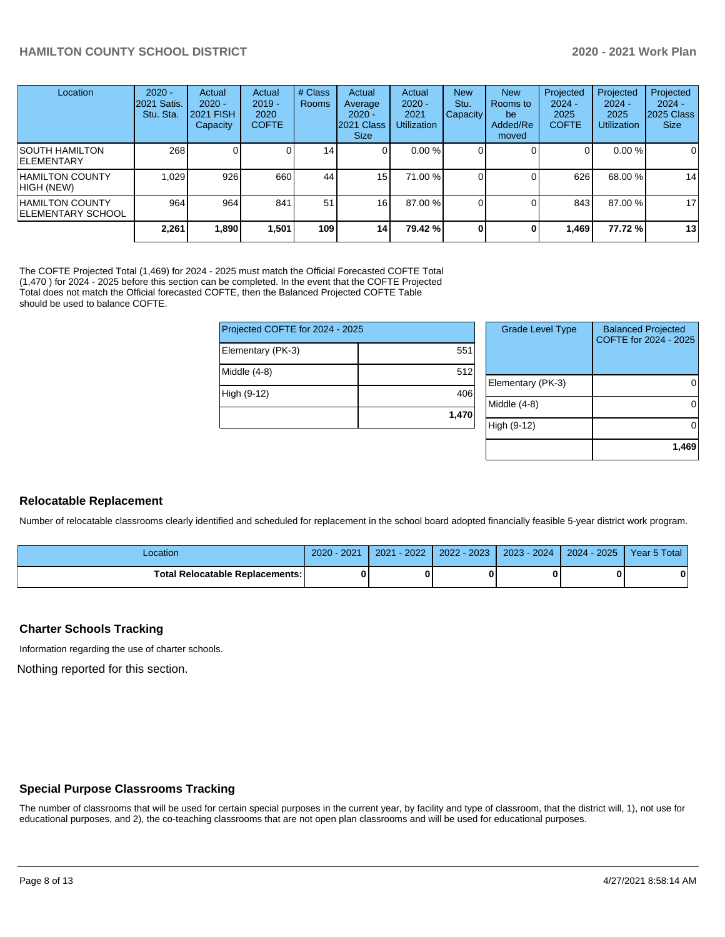| Location                                            | $2020 -$<br>2021 Satis.<br>Stu. Sta. | Actual<br>$2020 -$<br><b>2021 FISH</b><br>Capacity | Actual<br>$2019 -$<br>2020<br><b>COFTE</b> | # Class<br>Rooms | Actual<br>Average<br>$2020 -$<br>2021 Class<br><b>Size</b> | Actual<br>$2020 -$<br>2021<br><b>Utilization</b> | <b>New</b><br>Stu.<br><b>Capacity</b> | <b>New</b><br>Rooms to<br>be<br>Added/Re<br>moved | Projected<br>$2024 -$<br>2025<br><b>COFTE</b> | Projected<br>$2024 -$<br>2025<br><b>Utilization</b> | Projected<br>$2024 -$<br>2025 Class<br><b>Size</b> |
|-----------------------------------------------------|--------------------------------------|----------------------------------------------------|--------------------------------------------|------------------|------------------------------------------------------------|--------------------------------------------------|---------------------------------------|---------------------------------------------------|-----------------------------------------------|-----------------------------------------------------|----------------------------------------------------|
| <b>ISOUTH HAMILTON</b><br><b>IELEMENTARY</b>        | 268                                  |                                                    | $\Omega$                                   | 14               | ΟI                                                         | 0.00%                                            |                                       |                                                   | 0                                             | $0.00 \%$                                           | $\overline{0}$                                     |
| <b>HAMILTON COUNTY</b><br>HIGH (NEW)                | 1.029                                | 926                                                | 660                                        | 44               | 15 <sub>l</sub>                                            | 71.00 %                                          |                                       |                                                   | 626                                           | 68.00 %                                             | 14                                                 |
| <b>HAMILTON COUNTY</b><br><b>IELEMENTARY SCHOOL</b> | 964                                  | 964                                                | 841                                        | 51               | 16                                                         | 87.00 %                                          |                                       |                                                   | 843                                           | 87.00 %                                             | 17                                                 |
|                                                     | 2,261                                | 1.890                                              | 1.501                                      | 109              | 14 I                                                       | 79.42 %                                          | 0                                     | 0                                                 | 1,469                                         | 77.72 %                                             | 13                                                 |

The COFTE Projected Total (1,469) for 2024 - 2025 must match the Official Forecasted COFTE Total (1,470 ) for 2024 - 2025 before this section can be completed. In the event that the COFTE Projected Total does not match the Official forecasted COFTE, then the Balanced Projected COFTE Table should be used to balance COFTE.

| Projected COFTE for 2024 - 2025 |       | <b>Grade Level Type</b> | <b>Balanced Projected</b><br>COFTE for 2024 - 2025 |
|---------------------------------|-------|-------------------------|----------------------------------------------------|
| Elementary (PK-3)               | 551   |                         |                                                    |
| Middle (4-8)                    | 512   |                         | $\Omega$                                           |
| High (9-12)                     | 406   | Elementary (PK-3)       |                                                    |
|                                 | 1,470 | Middle (4-8)            | $\Omega$                                           |
|                                 |       | High (9-12)             | $\Omega$                                           |
|                                 |       |                         | 1,469                                              |

#### **Relocatable Replacement**

Number of relocatable classrooms clearly identified and scheduled for replacement in the school board adopted financially feasible 5-year district work program.

| .ocation                               | 2021<br>2020 | 2022<br>2021 | $-2023$<br>$2022 - 1$ | $2023 - 2024$ | 2025<br>2024 | Year 5 Total |
|----------------------------------------|--------------|--------------|-----------------------|---------------|--------------|--------------|
| <b>Total Relocatable Replacements:</b> |              |              |                       |               |              |              |

#### **Charter Schools Tracking**

Information regarding the use of charter schools.

Nothing reported for this section.

## **Special Purpose Classrooms Tracking**

The number of classrooms that will be used for certain special purposes in the current year, by facility and type of classroom, that the district will, 1), not use for educational purposes, and 2), the co-teaching classrooms that are not open plan classrooms and will be used for educational purposes.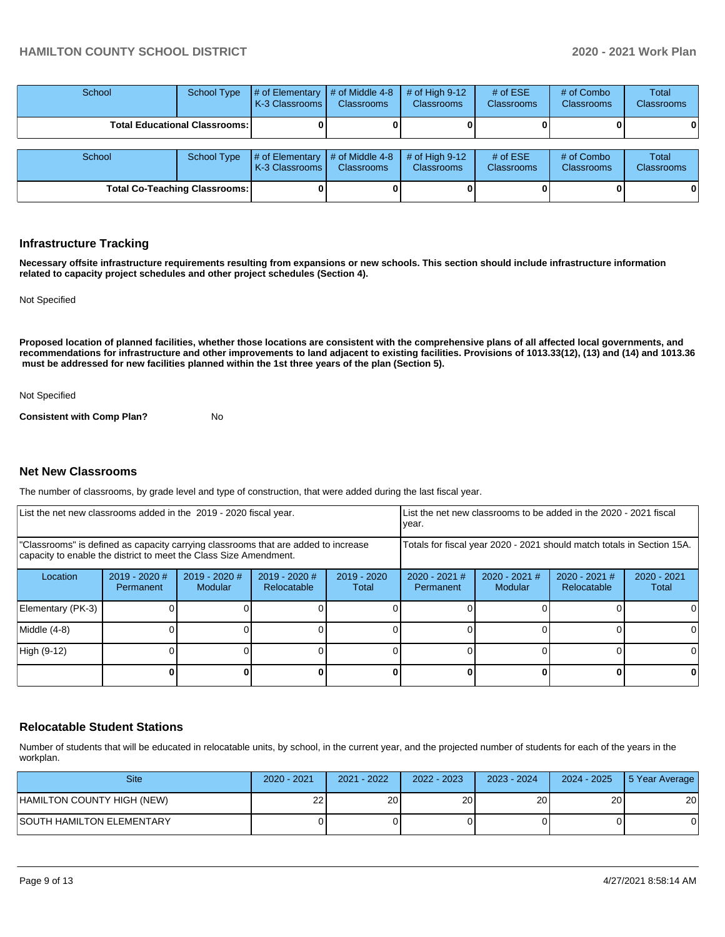| School | School Type                            | $#$ of Elementary<br>K-3 Classrooms                               | $#$ of Middle 4-8<br><b>Classrooms</b> | # of High $9-12$<br><b>Classrooms</b> | # of $ESE$<br><b>Classrooms</b> | # of Combo<br>Classrooms        | Total<br><b>Classrooms</b>        |
|--------|----------------------------------------|-------------------------------------------------------------------|----------------------------------------|---------------------------------------|---------------------------------|---------------------------------|-----------------------------------|
|        | <b>Total Educational Classrooms: I</b> |                                                                   |                                        |                                       |                                 |                                 | 0                                 |
| School | School Type                            | $\#$ of Elementary $\#$ of Middle 4-8<br><b>IK-3 Classrooms I</b> | <b>Classrooms</b>                      | # of High $9-12$<br><b>Classrooms</b> | # of $ESE$<br><b>Classrooms</b> | # of Combo<br><b>Classrooms</b> | <b>Total</b><br><b>Classrooms</b> |
|        | <b>Total Co-Teaching Classrooms:</b>   |                                                                   |                                        |                                       |                                 |                                 | 0                                 |

#### **Infrastructure Tracking**

**Necessary offsite infrastructure requirements resulting from expansions or new schools. This section should include infrastructure information related to capacity project schedules and other project schedules (Section 4).** 

Not Specified

**Proposed location of planned facilities, whether those locations are consistent with the comprehensive plans of all affected local governments, and recommendations for infrastructure and other improvements to land adjacent to existing facilities. Provisions of 1013.33(12), (13) and (14) and 1013.36 must be addressed for new facilities planned within the 1st three years of the plan (Section 5).** 

Not Specified

**Consistent with Comp Plan?** No

#### **Net New Classrooms**

The number of classrooms, by grade level and type of construction, that were added during the last fiscal year.

| List the net new classrooms added in the 2019 - 2020 fiscal year.                                                                                       |                              |                            | List the net new classrooms to be added in the 2020 - 2021 fiscal<br>year. |                        |                                                                        |                            |                                |                        |
|---------------------------------------------------------------------------------------------------------------------------------------------------------|------------------------------|----------------------------|----------------------------------------------------------------------------|------------------------|------------------------------------------------------------------------|----------------------------|--------------------------------|------------------------|
| "Classrooms" is defined as capacity carrying classrooms that are added to increase<br>capacity to enable the district to meet the Class Size Amendment. |                              |                            |                                                                            |                        | Totals for fiscal year 2020 - 2021 should match totals in Section 15A. |                            |                                |                        |
| Location                                                                                                                                                | $2019 - 2020$ #<br>Permanent | $2019 - 2020$ #<br>Modular | $2019 - 2020$ #<br>Relocatable                                             | $2019 - 2020$<br>Total | $2020 - 2021$ #<br>Permanent                                           | $2020 - 2021$ #<br>Modular | $2020 - 2021$ #<br>Relocatable | $2020 - 2021$<br>Total |
| Elementary (PK-3)                                                                                                                                       |                              |                            |                                                                            |                        |                                                                        |                            |                                |                        |
| Middle (4-8)                                                                                                                                            |                              |                            |                                                                            |                        |                                                                        |                            |                                | ΩI                     |
| High (9-12)                                                                                                                                             |                              |                            |                                                                            |                        |                                                                        |                            |                                |                        |
|                                                                                                                                                         |                              |                            |                                                                            |                        |                                                                        |                            | 0                              | 0                      |

#### **Relocatable Student Stations**

Number of students that will be educated in relocatable units, by school, in the current year, and the projected number of students for each of the years in the workplan.

| <b>Site</b>                      | 2020 - 2021 | 2021 - 2022 | $2022 - 2023$ | 2023 - 2024 | 2024 - 2025 | 5 Year Average |
|----------------------------------|-------------|-------------|---------------|-------------|-------------|----------------|
| HAMILTON COUNTY HIGH (NEW)       | 22          | 20 l        | 20 l          | 20          | 20          | 20             |
| <b>SOUTH HAMILTON ELEMENTARY</b> |             |             |               |             |             |                |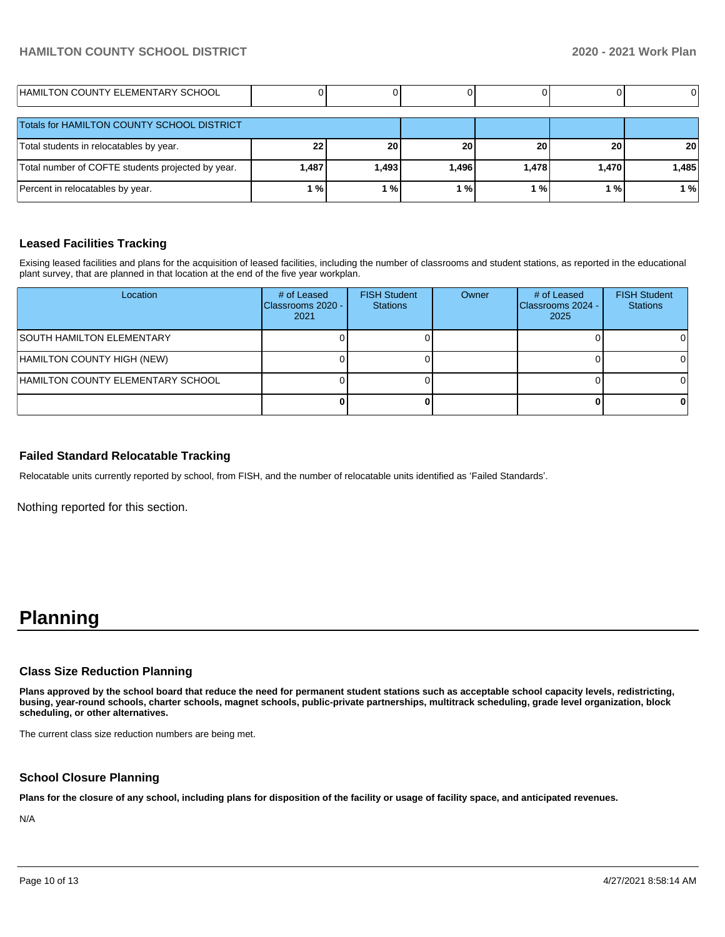| HAMILTON COUNTY ELEMENTARY SCHOOL                 |       |       |       |       |       |                 |
|---------------------------------------------------|-------|-------|-------|-------|-------|-----------------|
| Totals for HAMILTON COUNTY SCHOOL DISTRICT        |       |       |       |       |       |                 |
| Total students in relocatables by year.           | 22    | 20    | 20    | 20    | 20    | 20 <sub>1</sub> |
| Total number of COFTE students projected by year. | 1,487 | 1,493 | 1,496 | 1,478 | 1,470 | 1,485           |
| Percent in relocatables by year.                  | %     | ' %।  | $1\%$ | %     | l %   | 1%              |

#### **Leased Facilities Tracking**

Exising leased facilities and plans for the acquisition of leased facilities, including the number of classrooms and student stations, as reported in the educational plant survey, that are planned in that location at the end of the five year workplan.

| Location                          | # of Leased<br>Classrooms 2020 -<br>2021 | <b>FISH Student</b><br><b>Stations</b> | Owner | # of Leased<br>Classrooms 2024 -<br>2025 | <b>FISH Student</b><br><b>Stations</b> |
|-----------------------------------|------------------------------------------|----------------------------------------|-------|------------------------------------------|----------------------------------------|
| <b>ISOUTH HAMILTON ELEMENTARY</b> |                                          |                                        |       |                                          |                                        |
| HAMILTON COUNTY HIGH (NEW)        |                                          |                                        |       |                                          |                                        |
| HAMILTON COUNTY ELEMENTARY SCHOOL |                                          |                                        |       |                                          | ΩI                                     |
|                                   |                                          |                                        |       |                                          |                                        |

#### **Failed Standard Relocatable Tracking**

Relocatable units currently reported by school, from FISH, and the number of relocatable units identified as 'Failed Standards'.

Nothing reported for this section.

# **Planning**

#### **Class Size Reduction Planning**

**Plans approved by the school board that reduce the need for permanent student stations such as acceptable school capacity levels, redistricting, busing, year-round schools, charter schools, magnet schools, public-private partnerships, multitrack scheduling, grade level organization, block scheduling, or other alternatives.**

The current class size reduction numbers are being met.

#### **School Closure Planning**

**Plans for the closure of any school, including plans for disposition of the facility or usage of facility space, and anticipated revenues.** 

N/A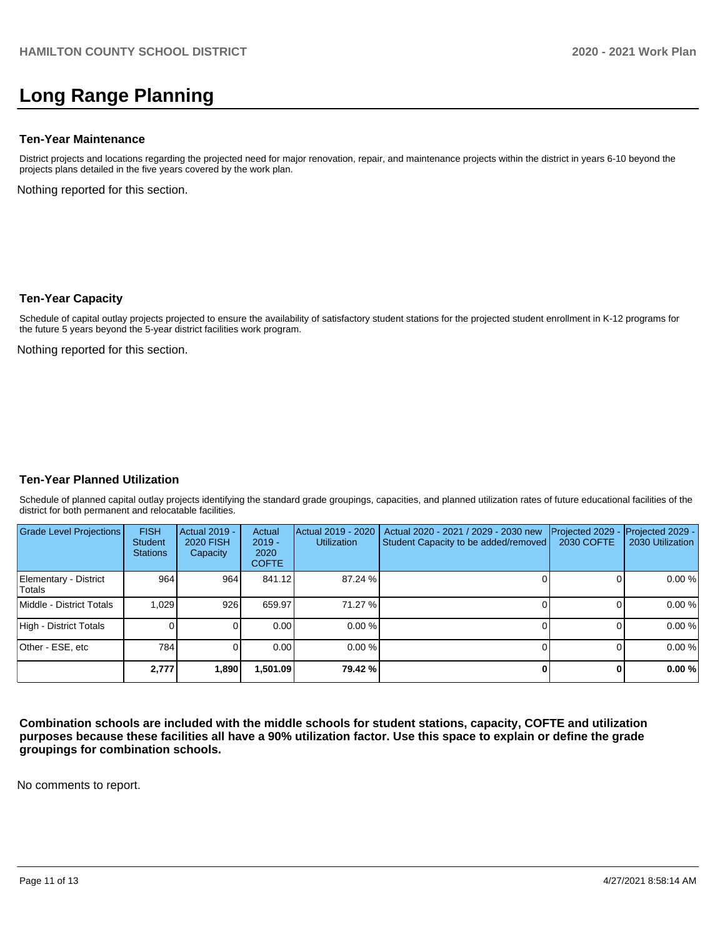# **Long Range Planning**

#### **Ten-Year Maintenance**

District projects and locations regarding the projected need for major renovation, repair, and maintenance projects within the district in years 6-10 beyond the projects plans detailed in the five years covered by the work plan.

Nothing reported for this section.

#### **Ten-Year Capacity**

Schedule of capital outlay projects projected to ensure the availability of satisfactory student stations for the projected student enrollment in K-12 programs for the future 5 years beyond the 5-year district facilities work program.

Nothing reported for this section.

#### **Ten-Year Planned Utilization**

Schedule of planned capital outlay projects identifying the standard grade groupings, capacities, and planned utilization rates of future educational facilities of the district for both permanent and relocatable facilities.

| <b>Grade Level Projections</b>   | <b>FISH</b><br>Student<br><b>Stations</b> | Actual 2019 -<br><b>2020 FISH</b><br>Capacity | Actual<br>$2019 -$<br>2020<br><b>COFTE</b> | Actual 2019 - 2020<br><b>Utilization</b> | Actual 2020 - 2021 / 2029 - 2030 new<br>Student Capacity to be added/removed | Projected 2029<br><b>2030 COFTE</b> | Projected 2029 -<br>2030 Utilization |
|----------------------------------|-------------------------------------------|-----------------------------------------------|--------------------------------------------|------------------------------------------|------------------------------------------------------------------------------|-------------------------------------|--------------------------------------|
| Elementary - District<br>lTotals | 964                                       | 964                                           | 841.12                                     | 87.24 %                                  |                                                                              |                                     | 0.00%                                |
| Middle - District Totals         | 1.029                                     | 926                                           | 659.97                                     | 71.27 %                                  |                                                                              |                                     | 0.00%                                |
| High - District Totals           |                                           |                                               | 0.00                                       | 0.00%                                    |                                                                              |                                     | 0.00%                                |
| Other - ESE, etc                 | 784                                       |                                               | 0.00                                       | $0.00\%$                                 |                                                                              |                                     | 0.00%                                |
|                                  | 2,777                                     | 1,890                                         | 501.09, ا                                  | 79.42 %                                  |                                                                              |                                     | 0.00%                                |

**Combination schools are included with the middle schools for student stations, capacity, COFTE and utilization purposes because these facilities all have a 90% utilization factor. Use this space to explain or define the grade groupings for combination schools.** 

No comments to report.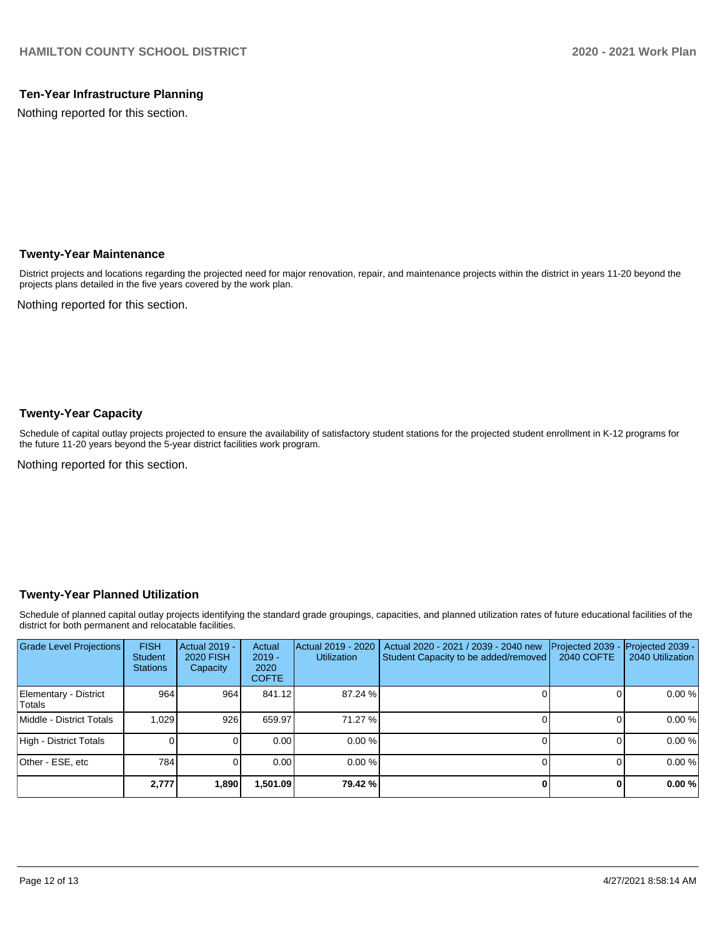## **Ten-Year Infrastructure Planning**

Nothing reported for this section.

## **Twenty-Year Maintenance**

District projects and locations regarding the projected need for major renovation, repair, and maintenance projects within the district in years 11-20 beyond the projects plans detailed in the five years covered by the work plan.

Nothing reported for this section.

### **Twenty-Year Capacity**

Schedule of capital outlay projects projected to ensure the availability of satisfactory student stations for the projected student enrollment in K-12 programs for the future 11-20 years beyond the 5-year district facilities work program.

Nothing reported for this section.

## **Twenty-Year Planned Utilization**

Schedule of planned capital outlay projects identifying the standard grade groupings, capacities, and planned utilization rates of future educational facilities of the district for both permanent and relocatable facilities.

| <b>Grade Level Projections</b>  | <b>FISH</b><br>Student<br><b>Stations</b> | <b>Actual 2019 -</b><br><b>2020 FISH</b><br>Capacity | Actual<br>$2019 -$<br>2020<br><b>COFTE</b> | Actual 2019 - 2020<br><b>Utilization</b> | Actual 2020 - 2021 / 2039 - 2040 new<br>Student Capacity to be added/removed | Projected 2039<br>2040 COFTE | Projected 2039 -<br>2040 Utilization |
|---------------------------------|-------------------------------------------|------------------------------------------------------|--------------------------------------------|------------------------------------------|------------------------------------------------------------------------------|------------------------------|--------------------------------------|
| Elementary - District<br>Totals | 964                                       | 964                                                  | 841.12                                     | 87.24 %                                  |                                                                              |                              | 0.00%                                |
| Middle - District Totals        | 1.029                                     | 926                                                  | 659.97                                     | 71.27 %                                  |                                                                              |                              | 0.00%                                |
| High - District Totals          |                                           |                                                      | 0.00                                       | 0.00%                                    |                                                                              |                              | 0.00%                                |
| Other - ESE, etc                | 784                                       |                                                      | 0.00                                       | 0.00%                                    |                                                                              |                              | 0.00%                                |
|                                 | 2,777                                     | 1,890                                                | 1,501.09                                   | 79.42 %                                  |                                                                              |                              | 0.00%                                |